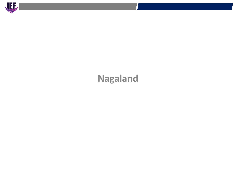

# **Nagaland**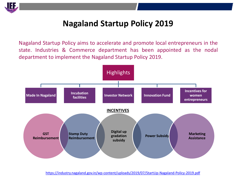

## **Nagaland Startup Policy 2019**

Nagaland Startup Policy aims to accelerate and promote local entrepreneurs in the state. Industries & Commerce department has been appointed as the nodal department to implement the Nagaland Startup Policy 2019.



<https://industry.nagaland.gov.in/wp-content/uploads/2019/07/StartUp-Nagaland-Policy-2019.pdf>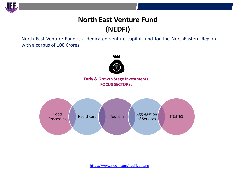

## **North East Venture Fund (NEDFI)**

North East Venture Fund is a dedicated venture capital fund for the NorthEastern Region with a corpus of 100 Crores.



**Early & Growth Stage Investments FOCUS SECTORS:**



<https://www.nedfi.com/nedfiventure>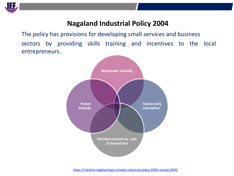

### **Nagaland Industrial Policy 2004**

The policy has provisions for developing small services and business sectors by providing skills training and incentives to the local entrepreneurs.

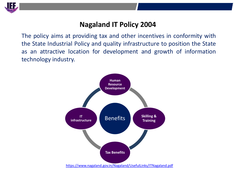

#### **Nagaland IT Policy 2004**

The policy aims at providing tax and other incentives in conformity with the State Industrial Policy and quality infrastructure to position the State as an attractive location for development and growth of information technology industry.